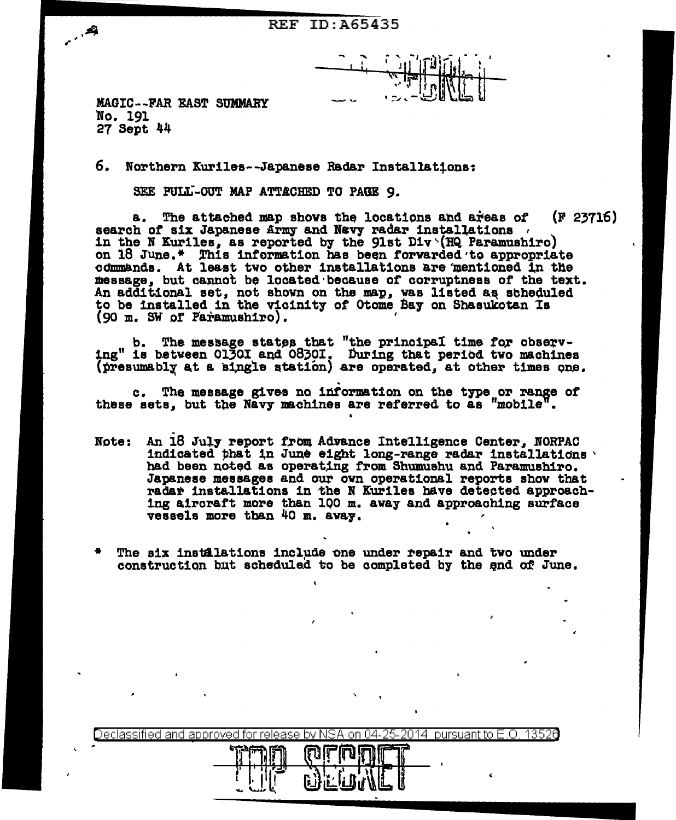**REF ID: A65435** 

**MAGIC--FAR EAST SUMMARY** No. 191 27 Sept 44

 $\cdot$ 

6. Northern Kuriles--Japanese Radar Installations:

SEE PULL-OUT MAP ATTACHED TO PAGE 9.

a. The attached map shows the locations and areas of (F 23716) search of six Japanese Army and Navy radar installations. in the N Kuriles, as reported by the 91st  $Div \setminus (HQ$  Paramushiro) on 18 June.\* This information has been forwarded to appropriate commands. At least two other installations are mentioned in the message, but cannot be located because of corruptness of the text. An additional set, not shown on the map, was listed as scheduled to be installed in the vicinity of Otome Bay on Shasukotan Is (90 m. SW of Paramushiro).

b. The message states that "the principal time for observ-<br>tng" is between 01301 and 08301. During that period two machines (presumably at a single station) are operated, at other times one.

c. The message gives no information on the type or range of these sets, but the Navy machines are referred to as "mobile".

- Note: An 18 July report from Advance Intelligence Center, NORPAC indicated that in June eight long-range radar installations had been noted as operating from Shumushu and Paramushiro. Japanese messages and our own operational reports show that radar installations in the N Kuriles have detected approaching aircraft more than 100 m. away and approaching surface vessels more than 40 m. away.
- The six instalations include one under repair and two under construction but scheduled to be completed by the end of June.

|          | ssified and approved for release by NSA on 04-25-2014 pursuant to $\overline{F}$ O |  |
|----------|------------------------------------------------------------------------------------|--|
| Il       | ורונטוחו<br>1174                                                                   |  |
| منتبه به | r.                                                                                 |  |